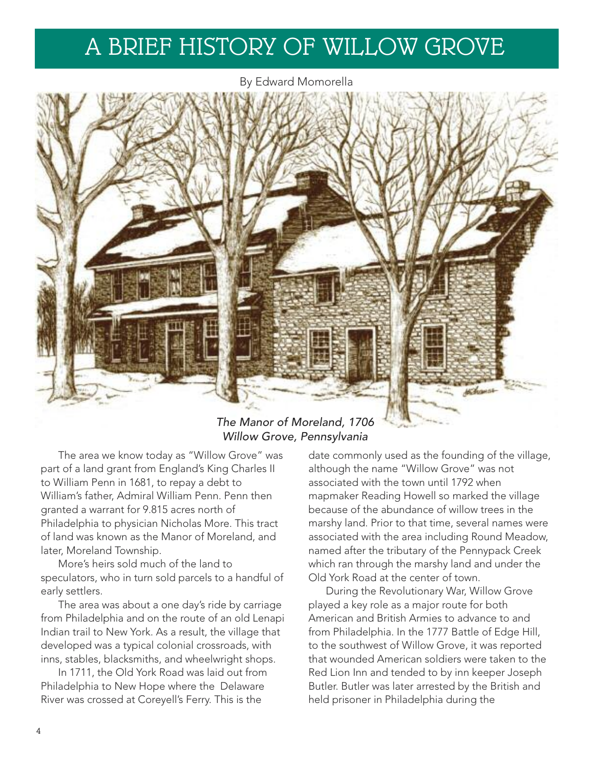## A BRIEF HISTORY OF WILLOW GROVE

By Edward Momorella



## *The Manor of Moreland, 1706 Willow Grove, Pennsylvania*

The area we know today as "Willow Grove" was part of a land grant from England's King Charles II to William Penn in 1681, to repay a debt to William's father, Admiral William Penn. Penn then granted a warrant for 9.815 acres north of Philadelphia to physician Nicholas More. This tract of land was known as the Manor of Moreland, and later, Moreland Township.

More's heirs sold much of the land to speculators, who in turn sold parcels to a handful of early settlers.

The area was about a one day's ride by carriage from Philadelphia and on the route of an old Lenapi Indian trail to New York. As a result, the village that developed was a typical colonial crossroads, with inns, stables, blacksmiths, and wheelwright shops.

In 1711, the Old York Road was laid out from Philadelphia to New Hope where the Delaware River was crossed at Coreyell's Ferry. This is the

date commonly used as the founding of the village, although the name "Willow Grove" was not associated with the town until 1792 when mapmaker Reading Howell so marked the village because of the abundance of willow trees in the marshy land. Prior to that time, several names were associated with the area including Round Meadow, named after the tributary of the Pennypack Creek which ran through the marshy land and under the Old York Road at the center of town.

During the Revolutionary War, Willow Grove played a key role as a major route for both American and British Armies to advance to and from Philadelphia. In the 1777 Battle of Edge Hill, to the southwest of Willow Grove, it was reported that wounded American soldiers were taken to the Red Lion Inn and tended to by inn keeper Joseph Butler. Butler was later arrested by the British and held prisoner in Philadelphia during the